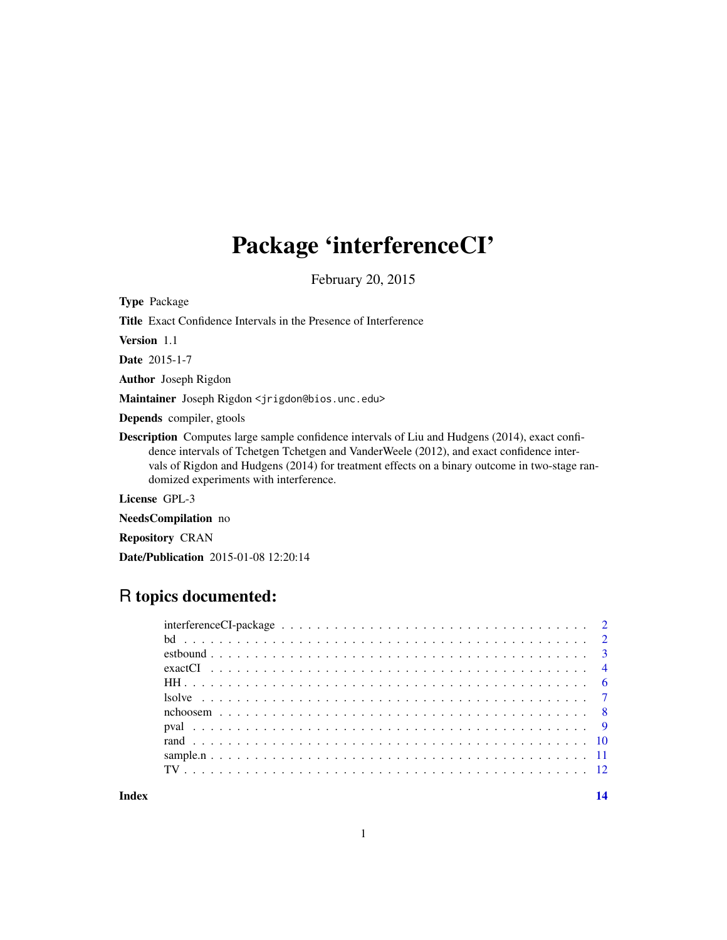# Package 'interferenceCI'

February 20, 2015

Type Package

Title Exact Confidence Intervals in the Presence of Interference

Version 1.1

Date 2015-1-7

Author Joseph Rigdon

Maintainer Joseph Rigdon <jrigdon@bios.unc.edu>

Depends compiler, gtools

Description Computes large sample confidence intervals of Liu and Hudgens (2014), exact confidence intervals of Tchetgen Tchetgen and VanderWeele (2012), and exact confidence intervals of Rigdon and Hudgens (2014) for treatment effects on a binary outcome in two-stage randomized experiments with interference.

License GPL-3

NeedsCompilation no

Repository CRAN

Date/Publication 2015-01-08 12:20:14

# R topics documented:

| interference CI-package $\ldots \ldots \ldots \ldots \ldots \ldots \ldots \ldots \ldots \ldots \ldots \ldots \ldots 2$ |  |
|------------------------------------------------------------------------------------------------------------------------|--|
|                                                                                                                        |  |
|                                                                                                                        |  |
|                                                                                                                        |  |
|                                                                                                                        |  |
|                                                                                                                        |  |
|                                                                                                                        |  |
|                                                                                                                        |  |
|                                                                                                                        |  |
|                                                                                                                        |  |
|                                                                                                                        |  |
|                                                                                                                        |  |

**Index** 2008 **[14](#page-13-0)**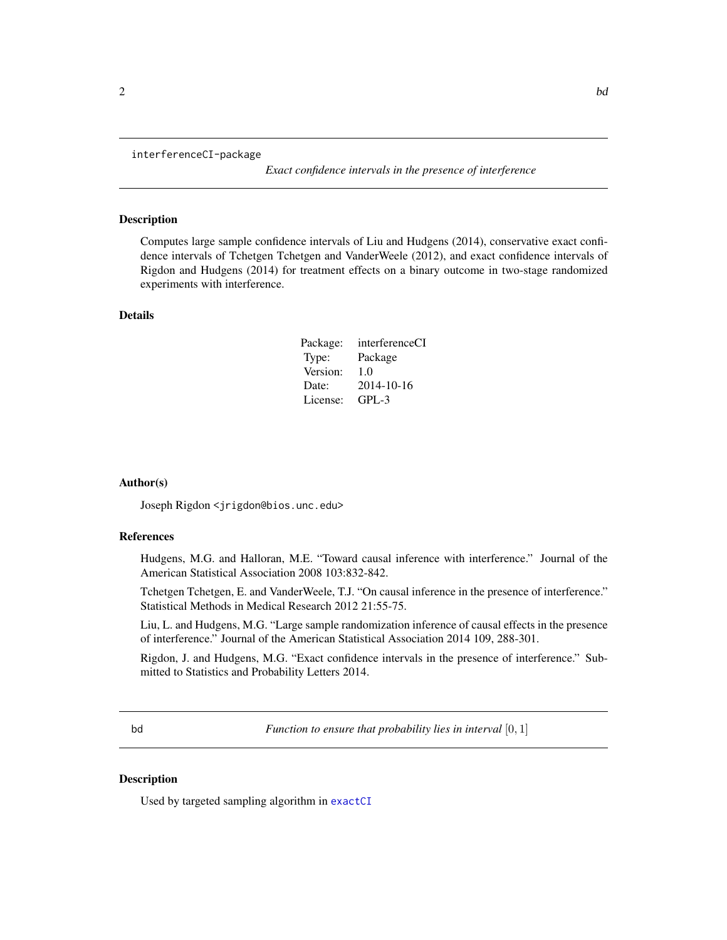<span id="page-1-0"></span>

interferenceCI-package

*Exact confidence intervals in the presence of interference*

#### Description

Computes large sample confidence intervals of Liu and Hudgens (2014), conservative exact confidence intervals of Tchetgen Tchetgen and VanderWeele (2012), and exact confidence intervals of Rigdon and Hudgens (2014) for treatment effects on a binary outcome in two-stage randomized experiments with interference.

#### Details

| Package: | interferenceCI |
|----------|----------------|
| Type:    | Package        |
| Version: | 1.0            |
| Date:    | 2014-10-16     |
| License: | $GPI - 3$      |

# Author(s)

Joseph Rigdon <jrigdon@bios.unc.edu>

# References

Hudgens, M.G. and Halloran, M.E. "Toward causal inference with interference." Journal of the American Statistical Association 2008 103:832-842.

Tchetgen Tchetgen, E. and VanderWeele, T.J. "On causal inference in the presence of interference." Statistical Methods in Medical Research 2012 21:55-75.

Liu, L. and Hudgens, M.G. "Large sample randomization inference of causal effects in the presence of interference." Journal of the American Statistical Association 2014 109, 288-301.

Rigdon, J. and Hudgens, M.G. "Exact confidence intervals in the presence of interference." Submitted to Statistics and Probability Letters 2014.

bd *Function to ensure that probability lies in interval* [0, 1]

#### Description

Used by targeted sampling algorithm in [exactCI](#page-3-1)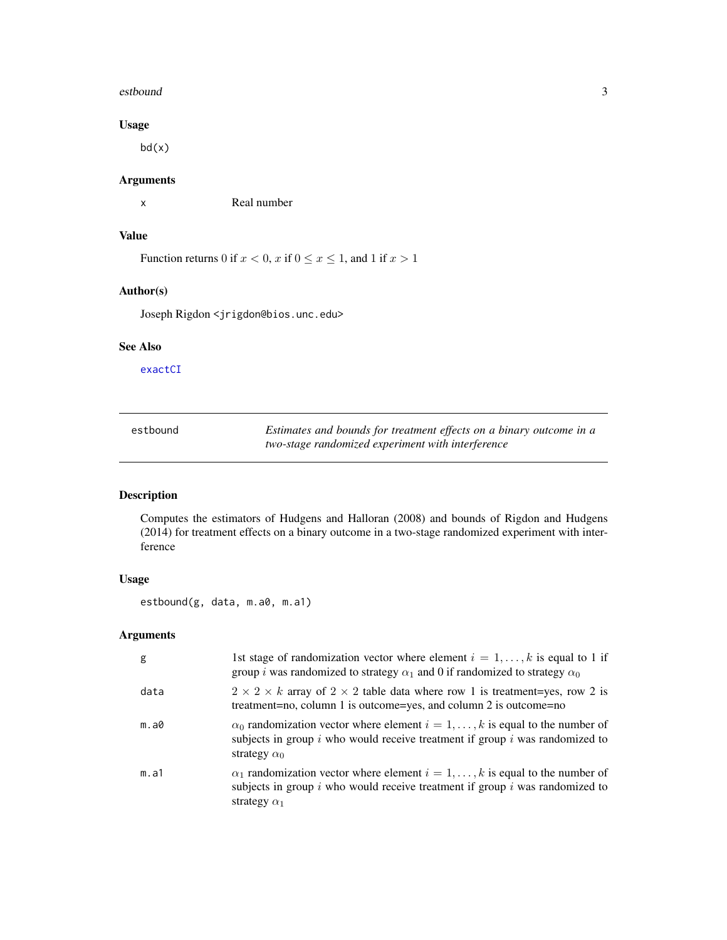#### <span id="page-2-0"></span>estbound 3

# Usage

bd(x)

# Arguments

x Real number

# Value

Function returns 0 if  $x < 0$ , x if  $0 \le x \le 1$ , and 1 if  $x > 1$ 

# Author(s)

Joseph Rigdon <jrigdon@bios.unc.edu>

# See Also

[exactCI](#page-3-1)

| estbound | Estimates and bounds for treatment effects on a binary outcome in a |
|----------|---------------------------------------------------------------------|
|          | two-stage randomized experiment with interference                   |

# Description

Computes the estimators of Hudgens and Halloran (2008) and bounds of Rigdon and Hudgens (2014) for treatment effects on a binary outcome in a two-stage randomized experiment with interference

#### Usage

estbound(g, data, m.a0, m.a1)

#### Arguments

| g    | 1st stage of randomization vector where element $i = 1, \ldots, k$ is equal to 1 if<br>group <i>i</i> was randomized to strategy $\alpha_1$ and 0 if randomized to strategy $\alpha_0$                |
|------|-------------------------------------------------------------------------------------------------------------------------------------------------------------------------------------------------------|
| data | $2 \times 2 \times k$ array of $2 \times 2$ table data where row 1 is treatment=yes, row 2 is<br>treatment=no, column 1 is outcome=yes, and column 2 is outcome=no                                    |
| m.a0 | $\alpha_0$ randomization vector where element $i = 1, \ldots, k$ is equal to the number of<br>subjects in group $i$ who would receive treatment if group $i$ was randomized to<br>strategy $\alpha_0$ |
| m.a1 | $\alpha_1$ randomization vector where element $i = 1, \dots, k$ is equal to the number of<br>subjects in group $i$ who would receive treatment if group $i$ was randomized to<br>strategy $\alpha_1$  |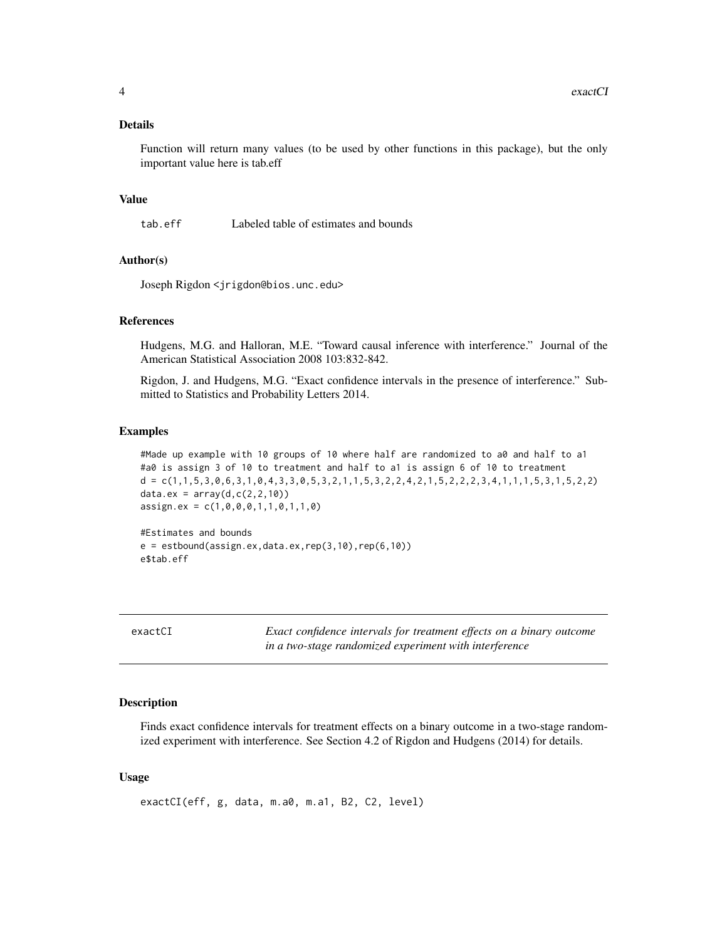#### <span id="page-3-0"></span>Details

Function will return many values (to be used by other functions in this package), but the only important value here is tab.eff

#### Value

tab.eff Labeled table of estimates and bounds

# Author(s)

Joseph Rigdon <jrigdon@bios.unc.edu>

#### References

Hudgens, M.G. and Halloran, M.E. "Toward causal inference with interference." Journal of the American Statistical Association 2008 103:832-842.

Rigdon, J. and Hudgens, M.G. "Exact confidence intervals in the presence of interference." Submitted to Statistics and Probability Letters 2014.

#### Examples

```
#Made up example with 10 groups of 10 where half are randomized to a0 and half to a1
#a0 is assign 3 of 10 to treatment and half to a1 is assign 6 of 10 to treatment
d = c(1,1,5,3,0,6,3,1,0,4,3,3,0,5,3,2,1,1,5,3,2,2,4,2,1,5,2,2,2,3,4,1,1,1,5,3,1,5,2,2)
data.ex = array(d, c(2, 2, 10))assign.ex = c(1, 0, 0, 0, 1, 1, 0, 1, 1, 0)
```
#Estimates and bounds  $e = estbound(assign.ex, data.ex, rep(3,10), rep(6,10))$ e\$tab.eff

<span id="page-3-1"></span>

| exactCI |  |
|---------|--|
|         |  |

Exact confidence intervals for treatment effects on a binary outcome *in a two-stage randomized experiment with interference*

#### Description

Finds exact confidence intervals for treatment effects on a binary outcome in a two-stage randomized experiment with interference. See Section 4.2 of Rigdon and Hudgens (2014) for details.

#### Usage

exactCI(eff, g, data, m.a0, m.a1, B2, C2, level)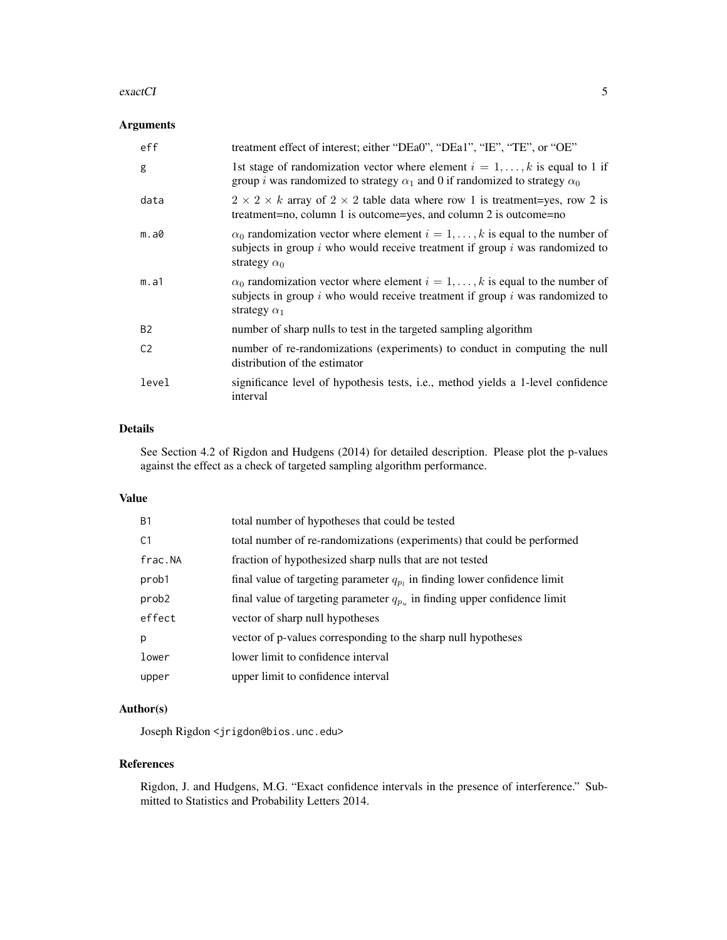#### exactCI 5

#### Arguments

| eff            | treatment effect of interest; either "DEa0", "DEa1", "IE", "TE", or "OE"                                                                                                                              |
|----------------|-------------------------------------------------------------------------------------------------------------------------------------------------------------------------------------------------------|
| g              | 1st stage of randomization vector where element $i = 1, , k$ is equal to 1 if<br>group <i>i</i> was randomized to strategy $\alpha_1$ and 0 if randomized to strategy $\alpha_0$                      |
| data           | $2 \times 2 \times k$ array of $2 \times 2$ table data where row 1 is treatment=yes, row 2 is<br>treatment=no, column 1 is outcome=yes, and column 2 is outcome=no                                    |
| m.a0           | $\alpha_0$ randomization vector where element $i = 1, \dots, k$ is equal to the number of<br>subjects in group $i$ who would receive treatment if group $i$ was randomized to<br>strategy $\alpha_0$  |
| m.a1           | $\alpha_0$ randomization vector where element $i = 1, \ldots, k$ is equal to the number of<br>subjects in group $i$ who would receive treatment if group $i$ was randomized to<br>strategy $\alpha_1$ |
| B <sub>2</sub> | number of sharp nulls to test in the targeted sampling algorithm                                                                                                                                      |
| C <sub>2</sub> | number of re-randomizations (experiments) to conduct in computing the null<br>distribution of the estimator                                                                                           |
| level          | significance level of hypothesis tests, i.e., method yields a 1-level confidence<br>interval                                                                                                          |

#### Details

See Section 4.2 of Rigdon and Hudgens (2014) for detailed description. Please plot the p-values against the effect as a check of targeted sampling algorithm performance.

#### Value

| <b>B1</b>      | total number of hypotheses that could be tested                                |
|----------------|--------------------------------------------------------------------------------|
| C <sub>1</sub> | total number of re-randomizations (experiments) that could be performed        |
| frac.NA        | fraction of hypothesized sharp nulls that are not tested                       |
| prob1          | final value of targeting parameter $q_p$ , in finding lower confidence limit   |
| prob2          | final value of targeting parameter $q_{p_n}$ in finding upper confidence limit |
| effect         | vector of sharp null hypotheses                                                |
| p              | vector of p-values corresponding to the sharp null hypotheses                  |
| lower          | lower limit to confidence interval                                             |
| upper          | upper limit to confidence interval                                             |

# Author(s)

Joseph Rigdon <jrigdon@bios.unc.edu>

#### References

Rigdon, J. and Hudgens, M.G. "Exact confidence intervals in the presence of interference." Submitted to Statistics and Probability Letters 2014.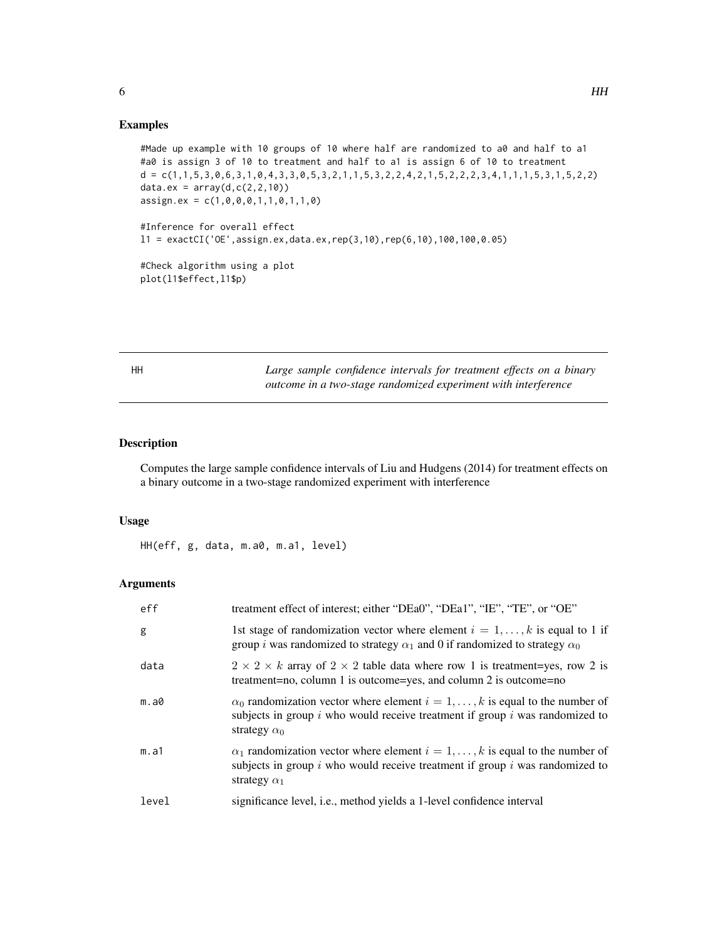#### <span id="page-5-0"></span>Examples

```
#Made up example with 10 groups of 10 where half are randomized to a0 and half to a1
#a0 is assign 3 of 10 to treatment and half to a1 is assign 6 of 10 to treatment
d = c(1,1,5,3,0,6,3,1,0,4,3,3,0,5,3,2,1,1,5,3,2,2,4,2,1,5,2,2,2,3,4,1,1,1,5,3,1,5,2,2)
data.ex = array(d, c(2, 2, 10))assign.ex = c(1,0,0,0,1,1,0,1,1,0)
#Inference for overall effect
l1 = exactCI('OE',assign.ex,data.ex,rep(3,10),rep(6,10),100,100,0.05)
#Check algorithm using a plot
plot(l1$effect,l1$p)
```
HH *Large sample confidence intervals for treatment effects on a binary outcome in a two-stage randomized experiment with interference*

# Description

Computes the large sample confidence intervals of Liu and Hudgens (2014) for treatment effects on a binary outcome in a two-stage randomized experiment with interference

#### Usage

HH(eff, g, data, m.a0, m.a1, level)

#### Arguments

| eff   | treatment effect of interest; either "DEa0", "DEa1", "IE", "TE", or "OE"                                                                                                                              |
|-------|-------------------------------------------------------------------------------------------------------------------------------------------------------------------------------------------------------|
| g     | 1st stage of randomization vector where element $i = 1, \ldots, k$ is equal to 1 if<br>group <i>i</i> was randomized to strategy $\alpha_1$ and 0 if randomized to strategy $\alpha_0$                |
| data  | $2 \times 2 \times k$ array of $2 \times 2$ table data where row 1 is treatment=yes, row 2 is<br>treatment=no, column 1 is outcome=yes, and column 2 is outcome=no                                    |
| m.a0  | $\alpha_0$ randomization vector where element $i = 1, \ldots, k$ is equal to the number of<br>subjects in group $i$ who would receive treatment if group $i$ was randomized to<br>strategy $\alpha_0$ |
| m.a1  | $\alpha_1$ randomization vector where element $i = 1, \dots, k$ is equal to the number of<br>subjects in group $i$ who would receive treatment if group $i$ was randomized to<br>strategy $\alpha_1$  |
| level | significance level, <i>i.e.</i> , method yields a 1-level confidence interval                                                                                                                         |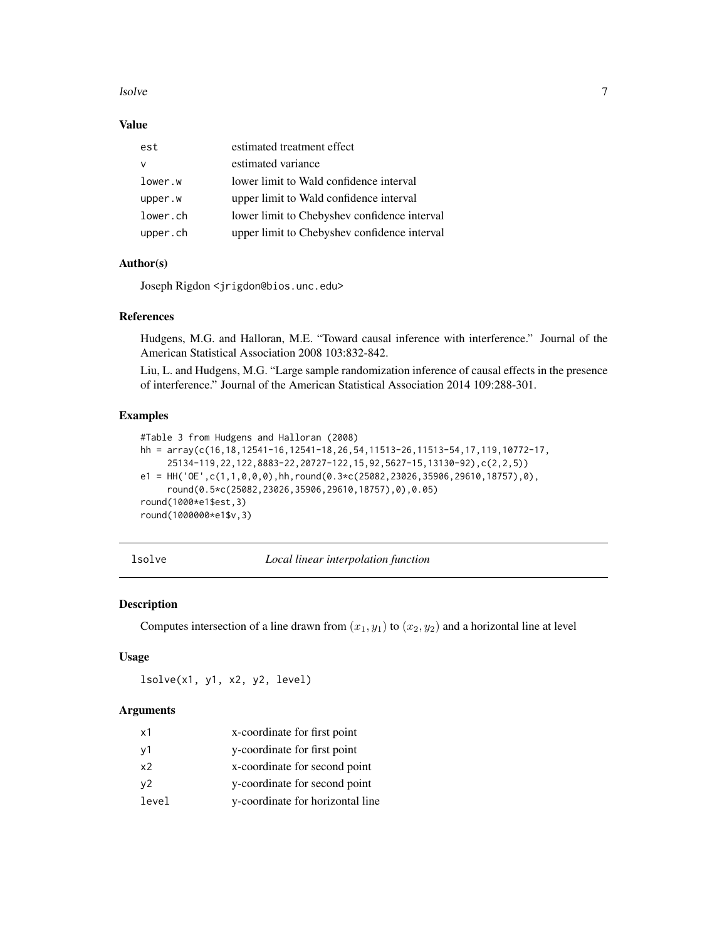#### <span id="page-6-0"></span>lsolve 7

#### Value

| est      | estimated treatment effect                   |
|----------|----------------------------------------------|
| v        | estimated variance                           |
| lower.w  | lower limit to Wald confidence interval      |
| upper.w  | upper limit to Wald confidence interval      |
| lower.ch | lower limit to Chebyshev confidence interval |
| upper.ch | upper limit to Chebyshev confidence interval |
|          |                                              |

#### Author(s)

Joseph Rigdon <jrigdon@bios.unc.edu>

#### References

Hudgens, M.G. and Halloran, M.E. "Toward causal inference with interference." Journal of the American Statistical Association 2008 103:832-842.

Liu, L. and Hudgens, M.G. "Large sample randomization inference of causal effects in the presence of interference." Journal of the American Statistical Association 2014 109:288-301.

#### Examples

```
#Table 3 from Hudgens and Halloran (2008)
hh = array(c(16,18,12541-16,12541-18,26,54,11513-26,11513-54,17,119,10772-17,
     25134-119,22,122,8883-22,20727-122,15,92,5627-15,13130-92),c(2,2,5))
e1 = HH('OE', c(1,1,0,0,0), hh, round(0.3*c(25082,23026,35906,29610,18757),0),round(0.5*c(25082,23026,35906,29610,18757),0),0.05)
round(1000*e1$est,3)
round(1000000*e1$v,3)
```
lsolve *Local linear interpolation function*

#### Description

Computes intersection of a line drawn from  $(x_1, y_1)$  to  $(x_2, y_2)$  and a horizontal line at level

#### Usage

lsolve(x1, y1, x2, y2, level)

#### Arguments

| x1    | x-coordinate for first point     |
|-------|----------------------------------|
| v1    | y-coordinate for first point     |
| x2    | x-coordinate for second point    |
| v2    | y-coordinate for second point    |
| level | y-coordinate for horizontal line |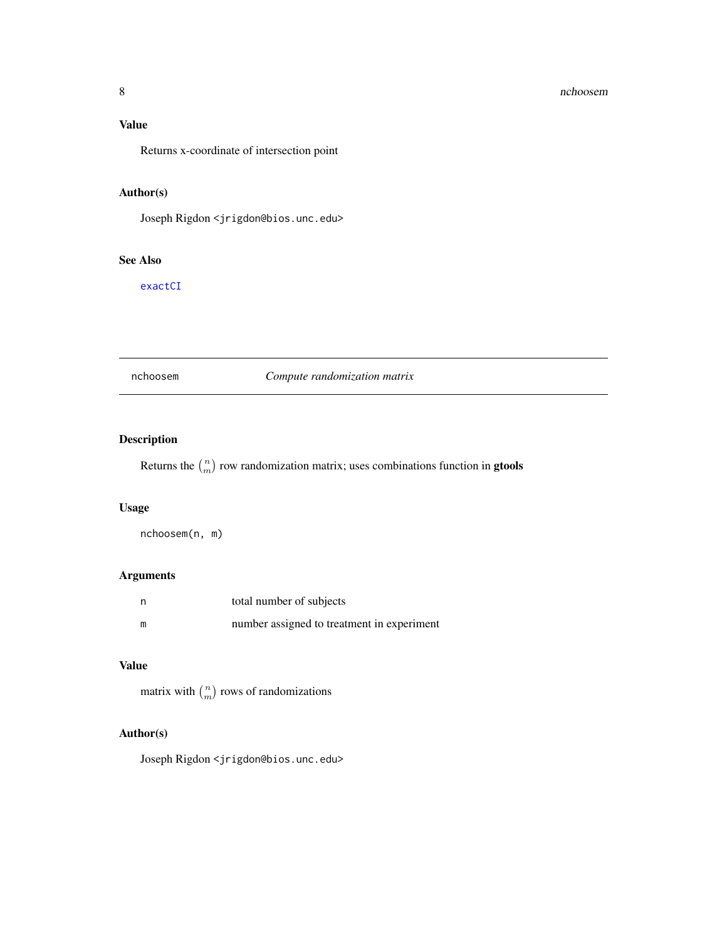# <span id="page-7-0"></span>Value

Returns x-coordinate of intersection point

# Author(s)

Joseph Rigdon <jrigdon@bios.unc.edu>

#### See Also

[exactCI](#page-3-1)

nchoosem *Compute randomization matrix*

# Description

Returns the  $\binom{n}{m}$  row randomization matrix; uses combinations function in **gtools** 

#### Usage

nchoosem(n, m)

# Arguments

| n | total number of subjects                   |
|---|--------------------------------------------|
| m | number assigned to treatment in experiment |

# Value

matrix with  $\binom{n}{m}$  rows of randomizations

#### Author(s)

Joseph Rigdon <jrigdon@bios.unc.edu>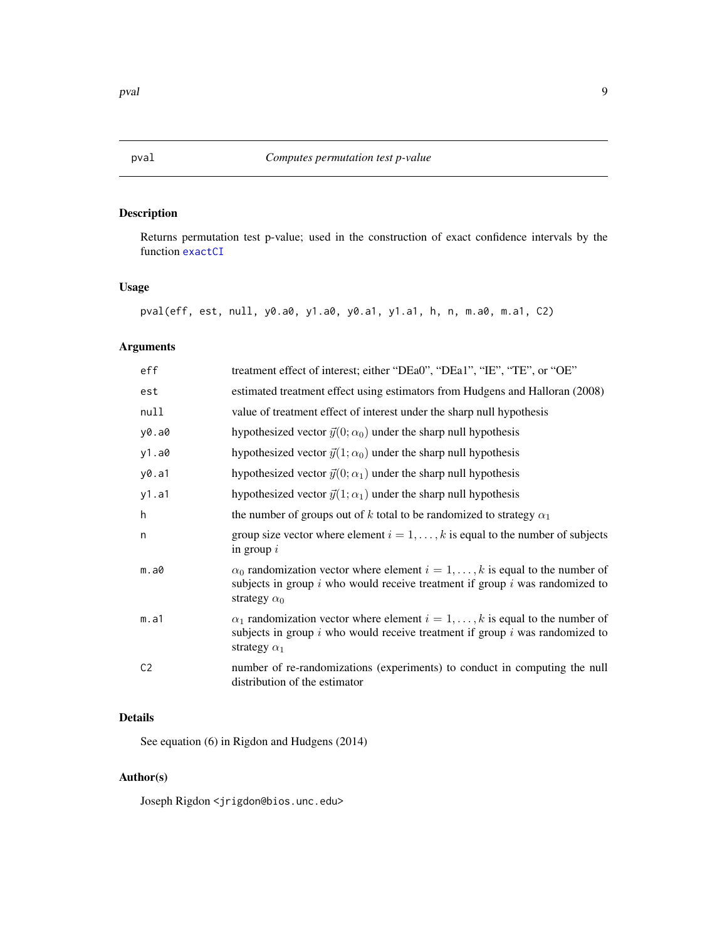# <span id="page-8-0"></span>Description

Returns permutation test p-value; used in the construction of exact confidence intervals by the function [exactCI](#page-3-1)

# Usage

pval(eff, est, null, y0.a0, y1.a0, y0.a1, y1.a1, h, n, m.a0, m.a1, C2)

# Arguments

| eff            | treatment effect of interest; either "DEa0", "DEa1", "IE", "TE", or "OE"                                                                                                                              |
|----------------|-------------------------------------------------------------------------------------------------------------------------------------------------------------------------------------------------------|
| est            | estimated treatment effect using estimators from Hudgens and Halloran (2008)                                                                                                                          |
| null           | value of treatment effect of interest under the sharp null hypothesis                                                                                                                                 |
| y0.a0          | hypothesized vector $\vec{y}(0; \alpha_0)$ under the sharp null hypothesis                                                                                                                            |
| y1.a0          | hypothesized vector $\vec{y}(1; \alpha_0)$ under the sharp null hypothesis                                                                                                                            |
| y0.a1          | hypothesized vector $\vec{y}(0; \alpha_1)$ under the sharp null hypothesis                                                                                                                            |
| y1.a1          | hypothesized vector $\vec{y}(1; \alpha_1)$ under the sharp null hypothesis                                                                                                                            |
| h              | the number of groups out of k total to be randomized to strategy $\alpha_1$                                                                                                                           |
| n              | group size vector where element $i = 1, \ldots, k$ is equal to the number of subjects<br>in group $i$                                                                                                 |
| m.a0           | $\alpha_0$ randomization vector where element $i = 1, \ldots, k$ is equal to the number of<br>subjects in group $i$ who would receive treatment if group $i$ was randomized to<br>strategy $\alpha_0$ |
| m.a1           | $\alpha_1$ randomization vector where element $i = 1, \ldots, k$ is equal to the number of<br>subjects in group $i$ who would receive treatment if group $i$ was randomized to<br>strategy $\alpha_1$ |
| C <sub>2</sub> | number of re-randomizations (experiments) to conduct in computing the null<br>distribution of the estimator                                                                                           |

# Details

See equation (6) in Rigdon and Hudgens (2014)

# Author(s)

Joseph Rigdon <jrigdon@bios.unc.edu>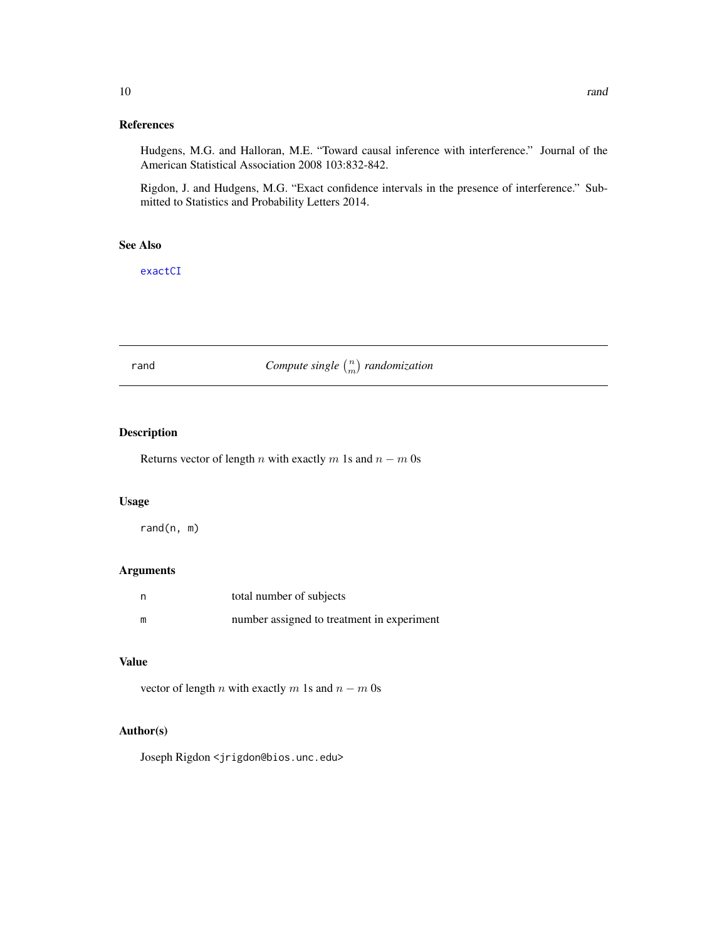#### <span id="page-9-0"></span>References

Hudgens, M.G. and Halloran, M.E. "Toward causal inference with interference." Journal of the American Statistical Association 2008 103:832-842.

Rigdon, J. and Hudgens, M.G. "Exact confidence intervals in the presence of interference." Submitted to Statistics and Probability Letters 2014.

#### See Also

[exactCI](#page-3-1)

*rand Compute single*  $\binom{n}{m}$  *randomization* 

#### Description

Returns vector of length n with exactly m 1s and  $n - m$  0s

# Usage

rand(n, m)

#### Arguments

| n | total number of subjects                   |
|---|--------------------------------------------|
| m | number assigned to treatment in experiment |

#### Value

vector of length *n* with exactly *m* 1s and  $n - m$  0s

# Author(s)

Joseph Rigdon <jrigdon@bios.unc.edu>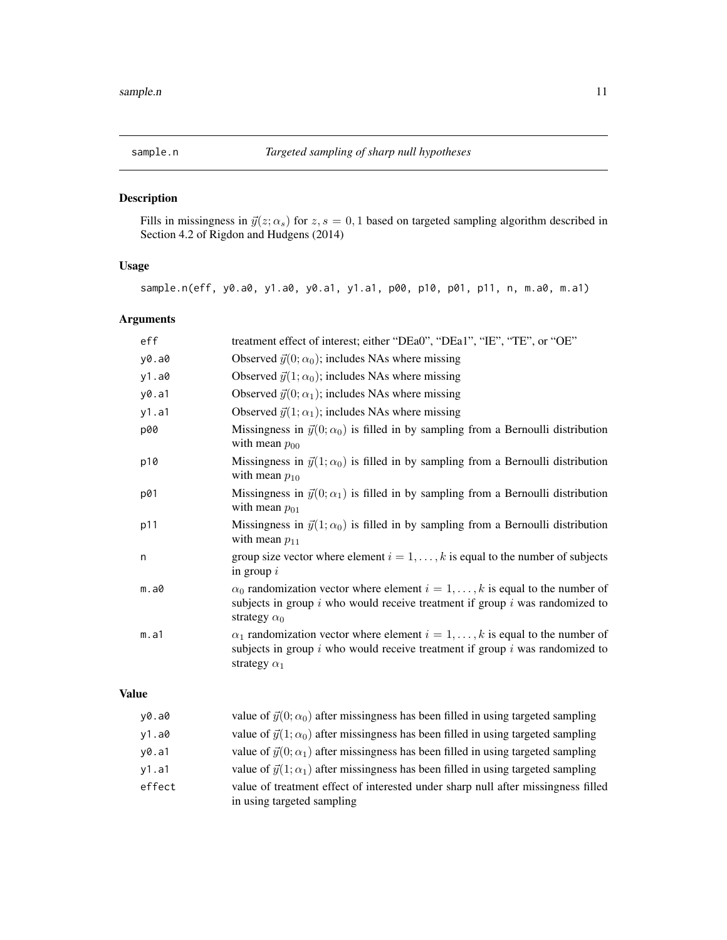<span id="page-10-0"></span>

# Description

Fills in missingness in  $\vec{y}(z; \alpha_s)$  for  $z, s = 0, 1$  based on targeted sampling algorithm described in Section 4.2 of Rigdon and Hudgens (2014)

# Usage

sample.n(eff, y0.a0, y1.a0, y0.a1, y1.a1, p00, p10, p01, p11, n, m.a0, m.a1)

# Arguments

| eff   | treatment effect of interest; either "DEa0", "DEa1", "IE", "TE", or "OE"                                                                                                                              |
|-------|-------------------------------------------------------------------------------------------------------------------------------------------------------------------------------------------------------|
| y0.a0 | Observed $\vec{y}(0; \alpha_0)$ ; includes NAs where missing                                                                                                                                          |
| y1.a0 | Observed $\vec{y}(1; \alpha_0)$ ; includes NAs where missing                                                                                                                                          |
| y0.a1 | Observed $\vec{y}(0; \alpha_1)$ ; includes NAs where missing                                                                                                                                          |
| y1.a1 | Observed $\vec{y}(1; \alpha_1)$ ; includes NAs where missing                                                                                                                                          |
| p00   | Missingness in $\vec{y}(0; \alpha_0)$ is filled in by sampling from a Bernoulli distribution<br>with mean $p_{00}$                                                                                    |
| p10   | Missingness in $\vec{y}(1; \alpha_0)$ is filled in by sampling from a Bernoulli distribution<br>with mean $p_{10}$                                                                                    |
| p01   | Missingness in $\vec{y}(0; \alpha_1)$ is filled in by sampling from a Bernoulli distribution<br>with mean $p_{01}$                                                                                    |
| p11   | Missingness in $\vec{y}(1; \alpha_0)$ is filled in by sampling from a Bernoulli distribution<br>with mean $p_{11}$                                                                                    |
| n     | group size vector where element $i = 1, , k$ is equal to the number of subjects<br>in group $i$                                                                                                       |
| m.a0  | $\alpha_0$ randomization vector where element $i = 1, \ldots, k$ is equal to the number of<br>subjects in group $i$ who would receive treatment if group $i$ was randomized to<br>strategy $\alpha_0$ |
| m.a1  | $\alpha_1$ randomization vector where element $i = 1, \ldots, k$ is equal to the number of<br>subjects in group $i$ who would receive treatment if group $i$ was randomized to<br>strategy $\alpha_1$ |

# Value

| v0.a0  | value of $\vec{y}(0; \alpha_0)$ after missingness has been filled in using targeted sampling                    |
|--------|-----------------------------------------------------------------------------------------------------------------|
| y1.a0  | value of $\vec{y}(1;\alpha_0)$ after missingness has been filled in using targeted sampling                     |
| y0.a1  | value of $\vec{y}(0; \alpha_1)$ after missingness has been filled in using targeted sampling                    |
| y1.a1  | value of $\vec{y}(1;\alpha_1)$ after missingness has been filled in using targeted sampling                     |
| effect | value of treatment effect of interested under sharp null after missingness filled<br>in using targeted sampling |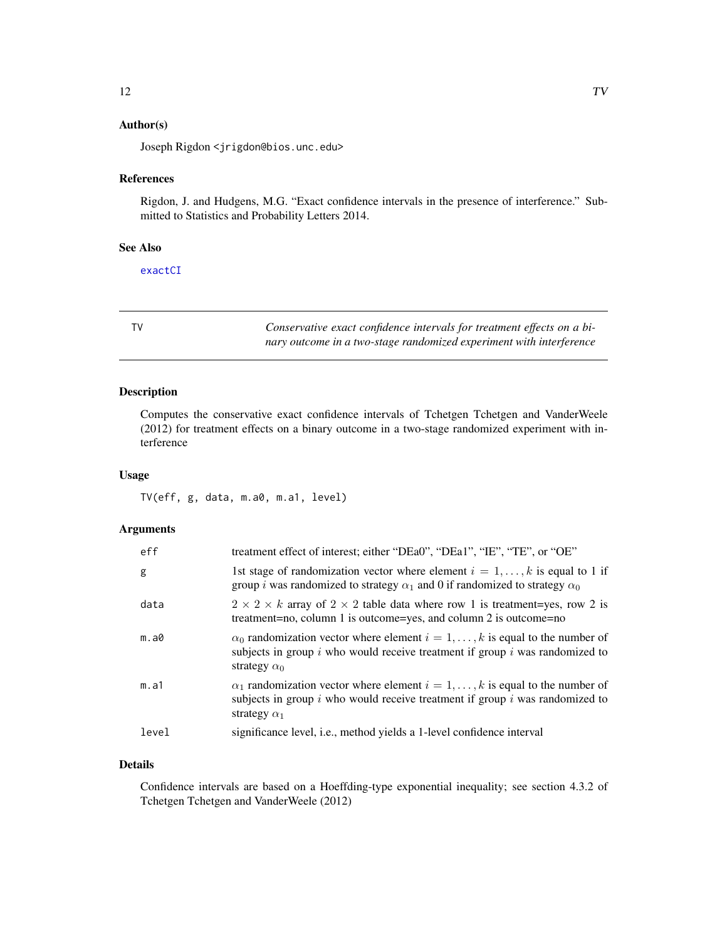# <span id="page-11-0"></span>Author(s)

Joseph Rigdon <jrigdon@bios.unc.edu>

#### References

Rigdon, J. and Hudgens, M.G. "Exact confidence intervals in the presence of interference." Submitted to Statistics and Probability Letters 2014.

# See Also

[exactCI](#page-3-1)

| ÷ |  |
|---|--|
|   |  |
|   |  |
|   |  |

Conservative exact confidence intervals for treatment effects on a bi*nary outcome in a two-stage randomized experiment with interference*

# Description

Computes the conservative exact confidence intervals of Tchetgen Tchetgen and VanderWeele (2012) for treatment effects on a binary outcome in a two-stage randomized experiment with interference

# Usage

TV(eff, g, data, m.a0, m.a1, level)

# Arguments

| eff   | treatment effect of interest; either "DEa0", "DEa1", "IE", "TE", or "OE"                                                                                                                              |
|-------|-------------------------------------------------------------------------------------------------------------------------------------------------------------------------------------------------------|
| g     | 1st stage of randomization vector where element $i = 1, \ldots, k$ is equal to 1 if<br>group <i>i</i> was randomized to strategy $\alpha_1$ and 0 if randomized to strategy $\alpha_0$                |
| data  | $2 \times 2 \times k$ array of $2 \times 2$ table data where row 1 is treatment=yes, row 2 is<br>treatment=no, column 1 is outcome=yes, and column 2 is outcome=no                                    |
| m.a0  | $\alpha_0$ randomization vector where element $i = 1, \ldots, k$ is equal to the number of<br>subjects in group $i$ who would receive treatment if group $i$ was randomized to<br>strategy $\alpha_0$ |
| m.a1  | $\alpha_1$ randomization vector where element $i = 1, \ldots, k$ is equal to the number of<br>subjects in group $i$ who would receive treatment if group $i$ was randomized to<br>strategy $\alpha_1$ |
| level | significance level, <i>i.e.</i> , method yields a 1-level confidence interval                                                                                                                         |

#### Details

Confidence intervals are based on a Hoeffding-type exponential inequality; see section 4.3.2 of Tchetgen Tchetgen and VanderWeele (2012)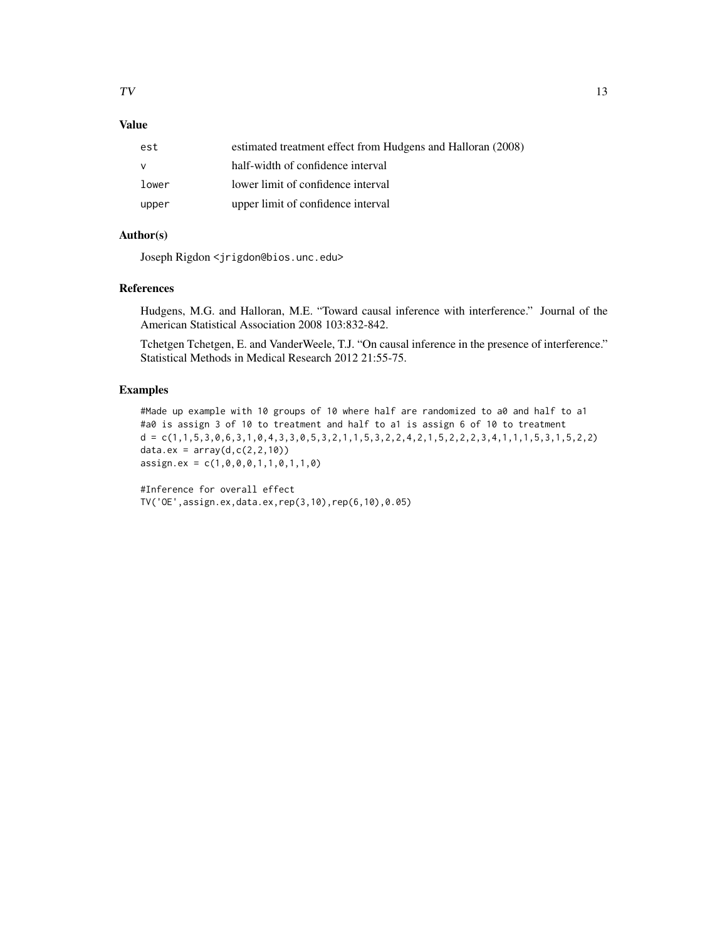# Value

| est   | estimated treatment effect from Hudgens and Halloran (2008) |
|-------|-------------------------------------------------------------|
|       | half-width of confidence interval                           |
| lower | lower limit of confidence interval                          |
| upper | upper limit of confidence interval                          |

# Author(s)

Joseph Rigdon <jrigdon@bios.unc.edu>

#### References

Hudgens, M.G. and Halloran, M.E. "Toward causal inference with interference." Journal of the American Statistical Association 2008 103:832-842.

Tchetgen Tchetgen, E. and VanderWeele, T.J. "On causal inference in the presence of interference." Statistical Methods in Medical Research 2012 21:55-75.

# Examples

#Made up example with 10 groups of 10 where half are randomized to a0 and half to a1 #a0 is assign 3 of 10 to treatment and half to a1 is assign 6 of 10 to treatment d = c(1,1,5,3,0,6,3,1,0,4,3,3,0,5,3,2,1,1,5,3,2,2,4,2,1,5,2,2,2,3,4,1,1,1,5,3,1,5,2,2) data.ex =  $array(d, c(2, 2, 10))$ assign.ex = c(1,0,0,0,1,1,0,1,1,0)

#Inference for overall effect TV('OE',assign.ex,data.ex,rep(3,10),rep(6,10),0.05)